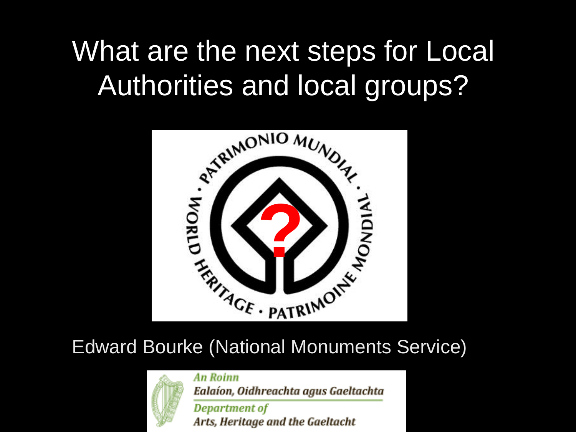#### What are the next steps for Local Authorities and local groups?



#### Edward Bourke (National Monuments Service)



**An Roinn** Ealaíon, Oidhreachta agus Gaeltachta

Department of Arts, Heritage and the Gaeltacht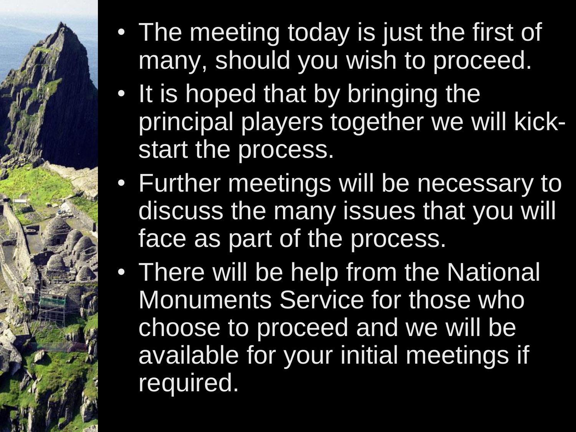

- The meeting today is just the first of many, should you wish to proceed.
- It is hoped that by bringing the principal players together we will kickstart the process.
- Further meetings will be necessary to discuss the many issues that you will face as part of the process.
- There will be help from the National Monuments Service for those who choose to proceed and we will be available for your initial meetings if required.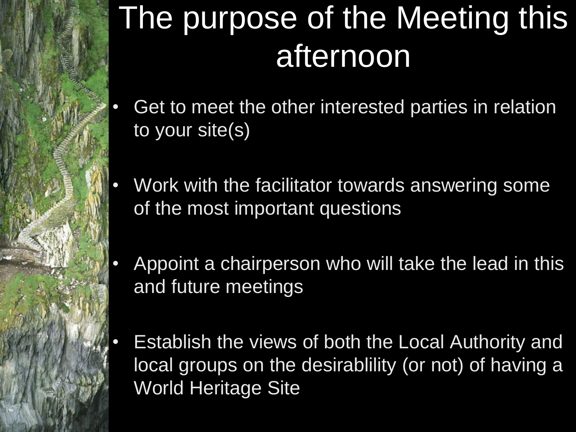

### The purpose of the Meeting this afternoon

- Get to meet the other interested parties in relation to your site(s)
- Work with the facilitator towards answering some of the most important questions
	- Appoint a chairperson who will take the lead in this and future meetings
- Establish the views of both the Local Authority and local groups on the desirablility (or not) of having a World Heritage Site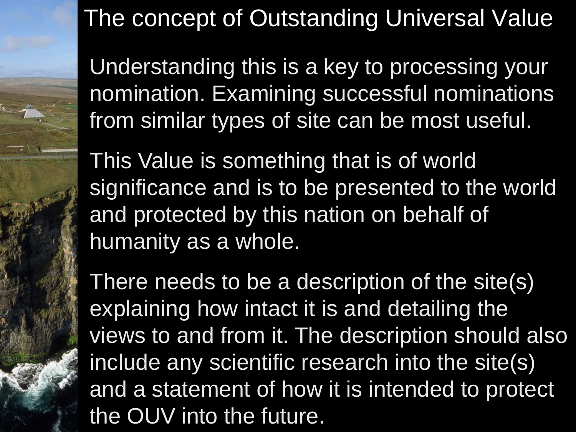#### The concept of Outstanding Universal Value

Understanding this is a key to processing your nomination. Examining successful nominations from similar types of site can be most useful.

This Value is something that is of world significance and is to be presented to the world and protected by this nation on behalf of humanity as a whole.

There needs to be a description of the site(s) explaining how intact it is and detailing the views to and from it. The description should also include any scientific research into the site(s) and a statement of how it is intended to protect the OUV into the future.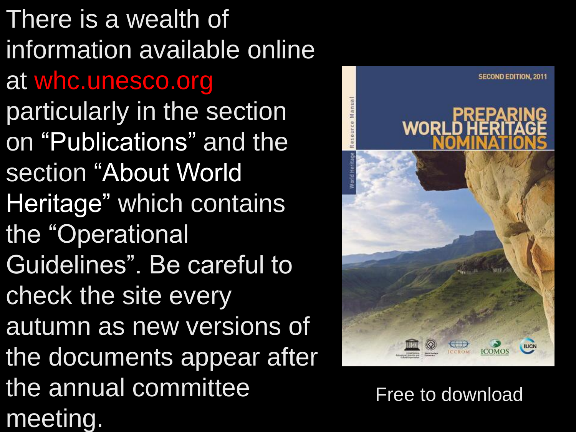There is a wealth of information available online at whc.unesco.org particularly in the section on "Publications" and the section "About World Heritage" which contains the "Operational Guidelines". Be careful to check the site every autumn as new versions of the documents appear after the annual committee meeting.



Free to download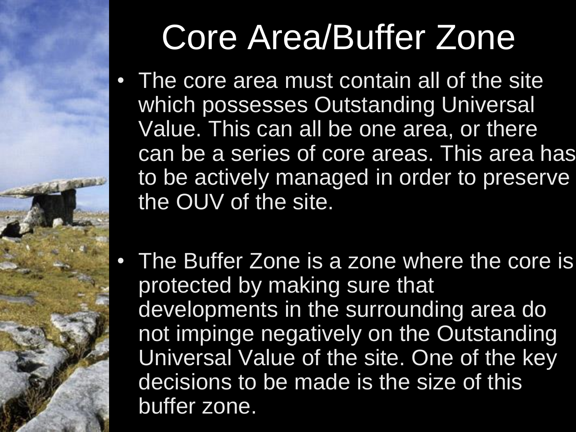# Core Area/Buffer Zone

- The core area must contain all of the site which possesses Outstanding Universal Value. This can all be one area, or there can be a series of core areas. This area has to be actively managed in order to preserve the OUV of the site.
- The Buffer Zone is a zone where the core is protected by making sure that developments in the surrounding area do not impinge negatively on the Outstanding Universal Value of the site. One of the key decisions to be made is the size of this buffer zone.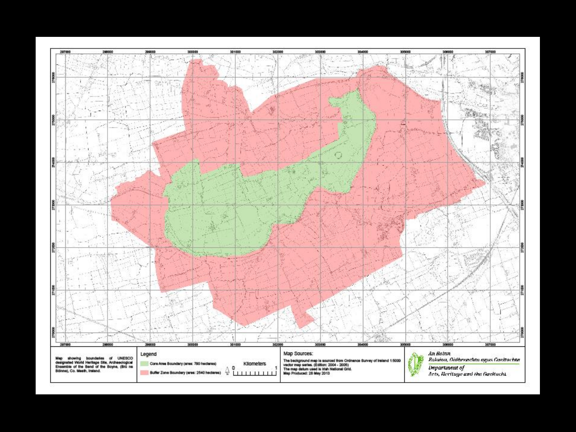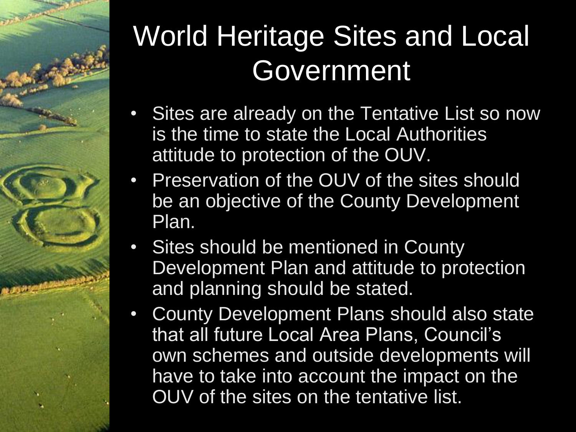

### World Heritage Sites and Local Government

- Sites are already on the Tentative List so now is the time to state the Local Authorities attitude to protection of the OUV.
- Preservation of the OUV of the sites should be an objective of the County Development Plan.
- Sites should be mentioned in County Development Plan and attitude to protection and planning should be stated.
- County Development Plans should also state that all future Local Area Plans, Council's own schemes and outside developments will have to take into account the impact on the OUV of the sites on the tentative list.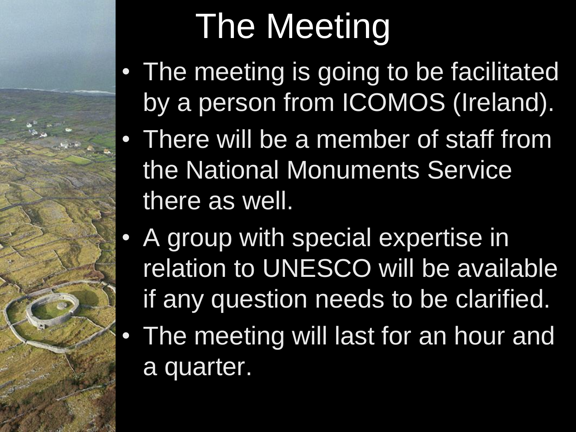# The Meeting

- The meeting is going to be facilitated by a person from ICOMOS (Ireland).
- There will be a member of staff from the National Monuments Service there as well.
- A group with special expertise in relation to UNESCO will be available if any question needs to be clarified.
- The meeting will last for an hour and a quarter.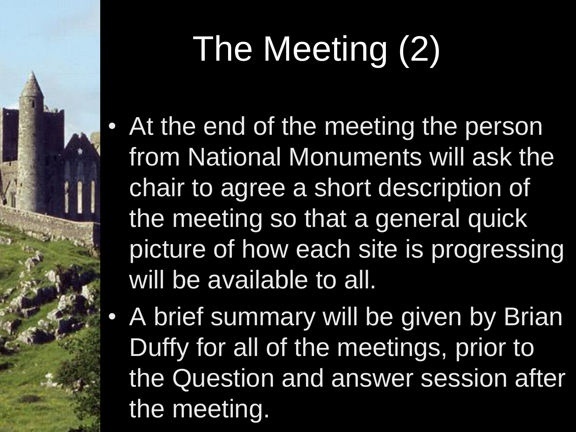# The Meeting (2)

- At the end of the meeting the person from National Monuments will ask the chair to agree a short description of the meeting so that a general quick picture of how each site is progressing will be available to all.
- A brief summary will be given by Brian Duffy for all of the meetings, prior to the Question and answer session after the meeting.